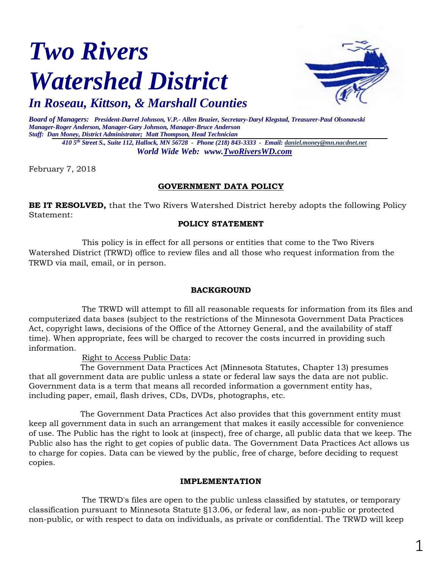# *Two Rivers Watershed District*



*In Roseau, Kittson, & Marshall Counties*

*Board of Managers: President-Darrel Johnson, V.P.- Allen Brazier, Secretary-Daryl Klegstad, Treasurer-Paul Olsonawski Manager-Roger Anderson, Manager-Gary Johnson, Manager-Bruce Anderson Staff: Dan Money, District Administrator; Matt Thompson, Head Technician 410 5th Street S., Suite 112, Hallock, MN 56728 - Phone (218) 843-3333 - Email[: daniel.money@mn.nacdnet.net](mailto:daniel.money@mn.nacdnet.net)*

*World Wide Web: www.TwoRiversWD.com*

February 7, 2018

# **GOVERNMENT DATA POLICY**

**BE IT RESOLVED,** that the Two Rivers Watershed District hereby adopts the following Policy Statement:

## **POLICY STATEMENT**

This policy is in effect for all persons or entities that come to the Two Rivers Watershed District (TRWD) office to review files and all those who request information from the TRWD via mail, email, or in person.

## **BACKGROUND**

The TRWD will attempt to fill all reasonable requests for information from its files and computerized data bases (subject to the restrictions of the Minnesota Government Data Practices Act, copyright laws, decisions of the Office of the Attorney General, and the availability of staff time). When appropriate, fees will be charged to recover the costs incurred in providing such information.

Right to Access Public Data:

The Government Data Practices Act (Minnesota Statutes, Chapter 13) presumes that all government data are public unless a state or federal law says the data are not public. Government data is a term that means all recorded information a government entity has, including paper, email, flash drives, CDs, DVDs, photographs, etc.

The Government Data Practices Act also provides that this government entity must keep all government data in such an arrangement that makes it easily accessible for convenience of use. The Public has the right to look at (inspect), free of charge, all public data that we keep. The Public also has the right to get copies of public data. The Government Data Practices Act allows us to charge for copies. Data can be viewed by the public, free of charge, before deciding to request copies.

#### **IMPLEMENTATION**

The TRWD's files are open to the public unless classified by statutes, or temporary classification pursuant to Minnesota Statute §13.06, or federal law, as non-public or protected non-public, or with respect to data on individuals, as private or confidential. The TRWD will keep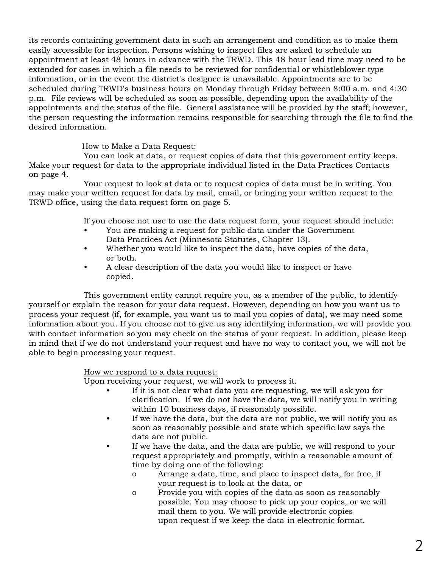its records containing government data in such an arrangement and condition as to make them easily accessible for inspection. Persons wishing to inspect files are asked to schedule an appointment at least 48 hours in advance with the TRWD. This 48 hour lead time may need to be extended for cases in which a file needs to be reviewed for confidential or whistleblower type information, or in the event the district's designee is unavailable. Appointments are to be scheduled during TRWD's business hours on Monday through Friday between 8:00 a.m. and 4:30 p.m. File reviews will be scheduled as soon as possible, depending upon the availability of the appointments and the status of the file. General assistance will be provided by the staff; however, the person requesting the information remains responsible for searching through the file to find the desired information.

## How to Make a Data Request:

You can look at data, or request copies of data that this government entity keeps. Make your request for data to the appropriate individual listed in the Data Practices Contacts on page 4.

Your request to look at data or to request copies of data must be in writing. You may make your written request for data by mail, email, or bringing your written request to the TRWD office, using the data request form on page 5.

If you choose not use to use the data request form, your request should include:

- You are making a request for public data under the Government Data Practices Act (Minnesota Statutes, Chapter 13).
- Whether you would like to inspect the data, have copies of the data, or both.
- A clear description of the data you would like to inspect or have copied.

This government entity cannot require you, as a member of the public, to identify yourself or explain the reason for your data request. However, depending on how you want us to process your request (if, for example, you want us to mail you copies of data), we may need some information about you. If you choose not to give us any identifying information, we will provide you with contact information so you may check on the status of your request. In addition, please keep in mind that if we do not understand your request and have no way to contact you, we will not be able to begin processing your request.

#### How we respond to a data request:

Upon receiving your request, we will work to process it.

- If it is not clear what data you are requesting, we will ask you for clarification. If we do not have the data, we will notify you in writing within 10 business days, if reasonably possible.
- If we have the data, but the data are not public, we will notify you as soon as reasonably possible and state which specific law says the data are not public.
- If we have the data, and the data are public, we will respond to your request appropriately and promptly, within a reasonable amount of time by doing one of the following:
	- o Arrange a date, time, and place to inspect data, for free, if your request is to look at the data, or
	- o Provide you with copies of the data as soon as reasonably possible. You may choose to pick up your copies, or we will mail them to you. We will provide electronic copies upon request if we keep the data in electronic format.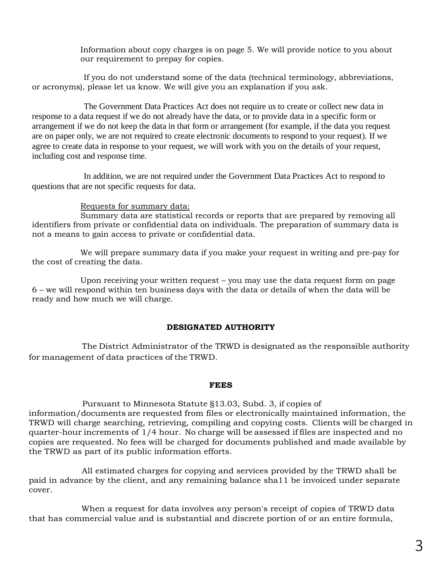Information about copy charges is on page 5. We will provide notice to you about our requirement to prepay for copies.

If you do not understand some of the data (technical terminology, abbreviations, or acronyms), please let us know. We will give you an explanation if you ask.

The Government Data Practices Act does not require us to create or collect new data in response to a data request if we do not already have the data, or to provide data in a specific form or arrangement if we do not keep the data in that form or arrangement (for example, if the data you request are on paper only, we are not required to create electronic documents to respond to your request). If we agree to create data in response to your request, we will work with you on the details of your request, including cost and response time.

In addition, we are not required under the Government Data Practices Act to respond to questions that are not specific requests for data.

#### Requests for summary data:

Summary data are statistical records or reports that are prepared by removing all identifiers from private or confidential data on individuals. The preparation of summary data is not a means to gain access to private or confidential data.

We will prepare summary data if you make your request in writing and pre-pay for the cost of creating the data.

Upon receiving your written request – you may use the data request form on page 6 – we will respond within ten business days with the data or details of when the data will be ready and how much we will charge.

#### **DESIGNATED AUTHORITY**

The District Administrator of the TRWD is designated as the responsible authority for management of data practices of the TRWD.

#### **FEES**

Pursuant to Minnesota Statute §13.03, Subd. 3, if copies of information/documents are requested from files or electronically maintained information, the TRWD will charge searching, retrieving, compiling and copying costs. Clients will be charged in quarter-hour increments of 1/4 hour. No charge will be assessed if files are inspected and no copies are requested. No fees will be charged for documents published and made available by the TRWD as part of its public information efforts.

All estimated charges for copying and services provided by the TRWD shall be paid in advance by the client, and any remaining balance sha11 be invoiced under separate cover.

When a request for data involves any person's receipt of copies of TRWD data that has commercial value and is substantial and discrete portion of or an entire formula,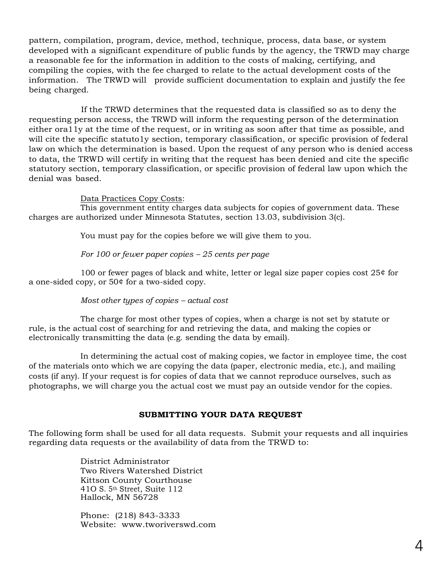pattern, compilation, program, device, method, technique, process, data base, or system developed with a significant expenditure of public funds by the agency, the TRWD may charge a reasonable fee for the information in addition to the costs of making, certifying, and compiling the copies, with the fee charged to relate to the actual development costs of the information. The TRWD will provide sufficient documentation to explain and justify the fee being charged.

If the TRWD determines that the requested data is classified so as to deny the requesting person access, the TRWD will inform the requesting person of the determination either ora11y at the time of the request, or in writing as soon after that time as possible, and will cite the specific statuto1y section, temporary classification, or specific provision of federal law on which the determination is based. Upon the request of any person who is denied access to data, the TRWD will certify in writing that the request has been denied and cite the specific statutory section, temporary classification, or specific provision of federal law upon which the denial was based.

Data Practices Copy Costs:

This government entity charges data subjects for copies of government data. These charges are authorized under Minnesota Statutes, section 13.03, subdivision 3(c).

You must pay for the copies before we will give them to you.

*For 100 or fewer paper copies – 25 cents per page*

100 or fewer pages of black and white, letter or legal size paper copies cost 25¢ for a one-sided copy, or 50¢ for a two-sided copy.

*Most other types of copies – actual cost*

The charge for most other types of copies, when a charge is not set by statute or rule, is the actual cost of searching for and retrieving the data, and making the copies or electronically transmitting the data (e.g. sending the data by email).

In determining the actual cost of making copies, we factor in employee time, the cost of the materials onto which we are copying the data (paper, electronic media, etc.), and mailing costs (if any). If your request is for copies of data that we cannot reproduce ourselves, such as photographs, we will charge you the actual cost we must pay an outside vendor for the copies.

## **SUBMITTING YOUR DATA REQUEST**

The following form shall be used for all data requests. Submit your requests and all inquiries regarding data requests or the availability of data from the TRWD to:

> District Administrator Two Rivers Watershed District Kittson County Courthouse 41O S. 5th Street, Suite 112 Hallock, MN 56728

Phone: (218) 843-3333 Website: www.tworiverswd.com